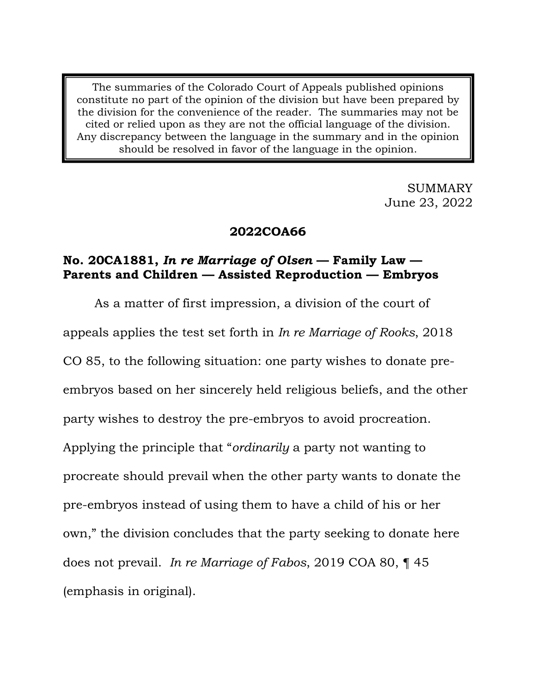The summaries of the Colorado Court of Appeals published opinions constitute no part of the opinion of the division but have been prepared by the division for the convenience of the reader. The summaries may not be cited or relied upon as they are not the official language of the division. Any discrepancy between the language in the summary and in the opinion should be resolved in favor of the language in the opinion.

> SUMMARY June 23, 2022

# **2022COA66**

# **No. 20CA1881,** *In re Marriage of Olsen* **— Family Law — Parents and Children — Assisted Reproduction — Embryos**

As a matter of first impression, a division of the court of appeals applies the test set forth in *In re Marriage of Rooks*, 2018 CO 85, to the following situation: one party wishes to donate preembryos based on her sincerely held religious beliefs, and the other party wishes to destroy the pre-embryos to avoid procreation. Applying the principle that "*ordinarily* a party not wanting to procreate should prevail when the other party wants to donate the pre-embryos instead of using them to have a child of his or her own," the division concludes that the party seeking to donate here does not prevail. *In re Marriage of Fabos*, 2019 COA 80, ¶ 45 (emphasis in original).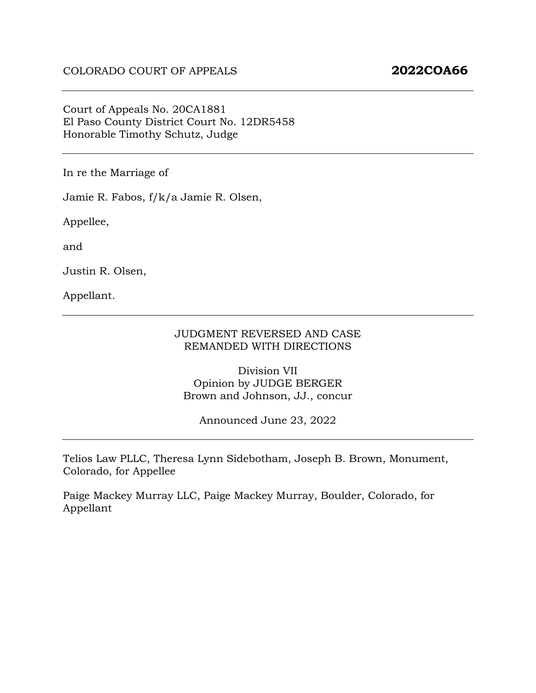### Court of Appeals No. 20CA1881 El Paso County District Court No. 12DR5458 Honorable Timothy Schutz, Judge

In re the Marriage of

Jamie R. Fabos, f/k/a Jamie R. Olsen,

Appellee,

and

Justin R. Olsen,

Appellant.

#### JUDGMENT REVERSED AND CASE REMANDED WITH DIRECTIONS

Division VII Opinion by JUDGE BERGER Brown and Johnson, JJ., concur

Announced June 23, 2022

Telios Law PLLC, Theresa Lynn Sidebotham, Joseph B. Brown, Monument, Colorado, for Appellee

Paige Mackey Murray LLC, Paige Mackey Murray, Boulder, Colorado, for Appellant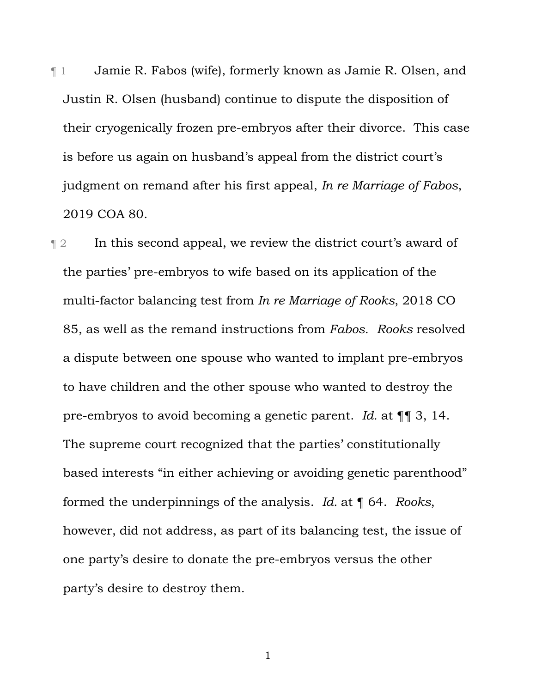¶ 1 Jamie R. Fabos (wife), formerly known as Jamie R. Olsen, and Justin R. Olsen (husband) continue to dispute the disposition of their cryogenically frozen pre-embryos after their divorce. This case is before us again on husband's appeal from the district court's judgment on remand after his first appeal, *In re Marriage of Fabos*, 2019 COA 80.

¶ 2 In this second appeal, we review the district court's award of the parties' pre-embryos to wife based on its application of the multi-factor balancing test from *In re Marriage of Rooks*, 2018 CO 85, as well as the remand instructions from *Fabos*. *Rooks* resolved a dispute between one spouse who wanted to implant pre-embryos to have children and the other spouse who wanted to destroy the pre-embryos to avoid becoming a genetic parent. *Id.* at ¶¶ 3, 14. The supreme court recognized that the parties' constitutionally based interests "in either achieving or avoiding genetic parenthood" formed the underpinnings of the analysis. *Id.* at ¶ 64. *Rooks*, however, did not address, as part of its balancing test, the issue of one party's desire to donate the pre-embryos versus the other party's desire to destroy them.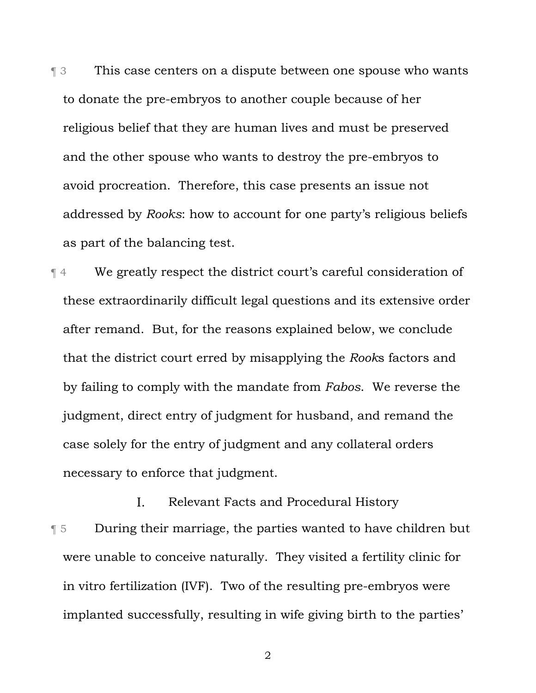**This case centers on a dispute between one spouse who wants** to donate the pre-embryos to another couple because of her religious belief that they are human lives and must be preserved and the other spouse who wants to destroy the pre-embryos to avoid procreation. Therefore, this case presents an issue not addressed by *Rooks*: how to account for one party's religious beliefs as part of the balancing test.

¶ 4 We greatly respect the district court's careful consideration of these extraordinarily difficult legal questions and its extensive order after remand. But, for the reasons explained below, we conclude that the district court erred by misapplying the *Rook*s factors and by failing to comply with the mandate from *Fabos*. We reverse the judgment, direct entry of judgment for husband, and remand the case solely for the entry of judgment and any collateral orders necessary to enforce that judgment.

 $\mathbf{I}$ . Relevant Facts and Procedural History ¶ 5 During their marriage, the parties wanted to have children but were unable to conceive naturally. They visited a fertility clinic for in vitro fertilization (IVF). Two of the resulting pre-embryos were implanted successfully, resulting in wife giving birth to the parties'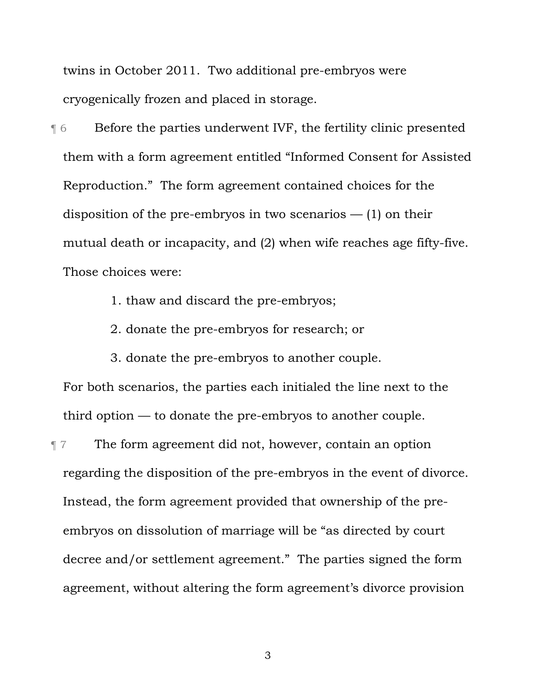twins in October 2011. Two additional pre-embryos were cryogenically frozen and placed in storage.

¶ 6 Before the parties underwent IVF, the fertility clinic presented them with a form agreement entitled "Informed Consent for Assisted Reproduction." The form agreement contained choices for the disposition of the pre-embryos in two scenarios  $-$  (1) on their mutual death or incapacity, and (2) when wife reaches age fifty-five. Those choices were:

- 1. thaw and discard the pre-embryos;
- 2. donate the pre-embryos for research; or
- 3. donate the pre-embryos to another couple.

For both scenarios, the parties each initialed the line next to the third option — to donate the pre-embryos to another couple.

¶ 7 The form agreement did not, however, contain an option regarding the disposition of the pre-embryos in the event of divorce. Instead, the form agreement provided that ownership of the preembryos on dissolution of marriage will be "as directed by court decree and/or settlement agreement." The parties signed the form agreement, without altering the form agreement's divorce provision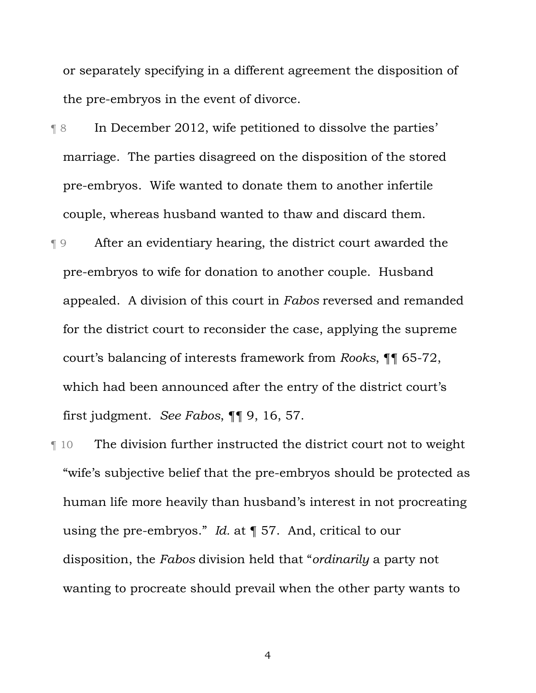or separately specifying in a different agreement the disposition of the pre-embryos in the event of divorce.

- ¶ 8 In December 2012, wife petitioned to dissolve the parties' marriage. The parties disagreed on the disposition of the stored pre-embryos. Wife wanted to donate them to another infertile couple, whereas husband wanted to thaw and discard them.
- ¶ 9 After an evidentiary hearing, the district court awarded the pre-embryos to wife for donation to another couple. Husband appealed. A division of this court in *Fabos* reversed and remanded for the district court to reconsider the case, applying the supreme court's balancing of interests framework from *Rooks*, ¶¶ 65-72, which had been announced after the entry of the district court's first judgment. *See Fabos*, ¶¶ 9, 16, 57.
- ¶ 10 The division further instructed the district court not to weight "wife's subjective belief that the pre-embryos should be protected as human life more heavily than husband's interest in not procreating using the pre-embryos." *Id.* at ¶ 57. And, critical to our disposition, the *Fabos* division held that "*ordinarily* a party not wanting to procreate should prevail when the other party wants to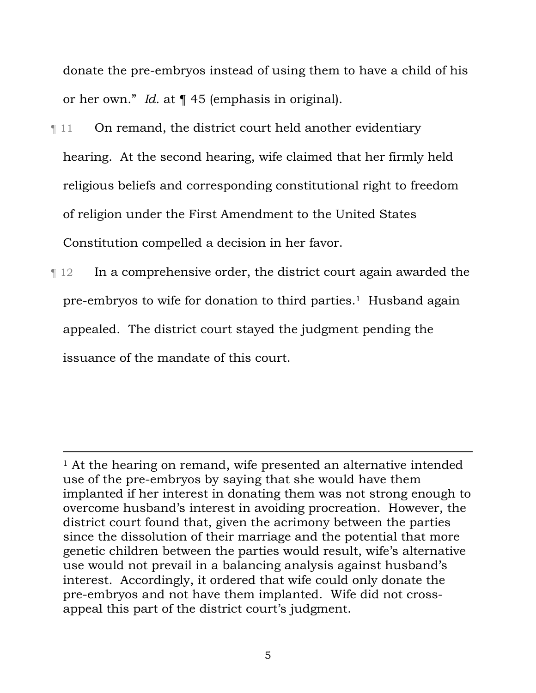donate the pre-embryos instead of using them to have a child of his or her own." *Id.* at ¶ 45 (emphasis in original).

- **Term 11** On remand, the district court held another evidentiary hearing. At the second hearing, wife claimed that her firmly held religious beliefs and corresponding constitutional right to freedom of religion under the First Amendment to the United States Constitution compelled a decision in her favor.
- ¶ 12 In a comprehensive order, the district court again awarded the pre-embryos to wife for donation to third parties.1 Husband again appealed. The district court stayed the judgment pending the issuance of the mandate of this court.

<sup>&</sup>lt;sup>1</sup> At the hearing on remand, wife presented an alternative intended use of the pre-embryos by saying that she would have them implanted if her interest in donating them was not strong enough to overcome husband's interest in avoiding procreation. However, the district court found that, given the acrimony between the parties since the dissolution of their marriage and the potential that more genetic children between the parties would result, wife's alternative use would not prevail in a balancing analysis against husband's interest. Accordingly, it ordered that wife could only donate the pre-embryos and not have them implanted. Wife did not crossappeal this part of the district court's judgment.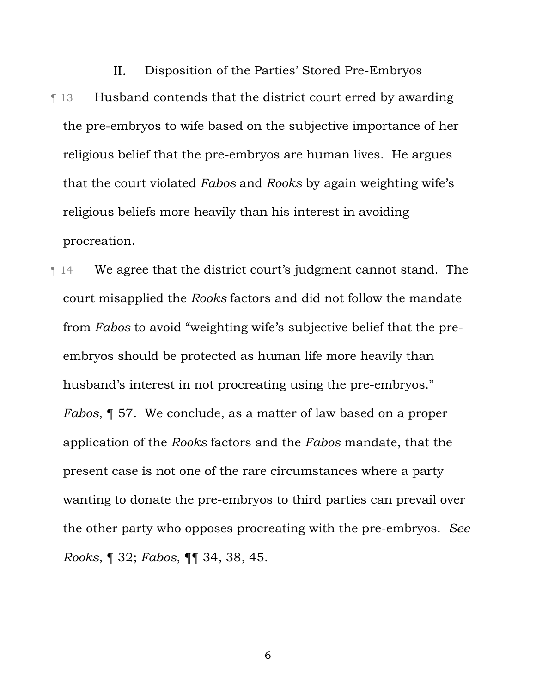$II.$ Disposition of the Parties' Stored Pre-Embryos ¶ 13 Husband contends that the district court erred by awarding the pre-embryos to wife based on the subjective importance of her religious belief that the pre-embryos are human lives. He argues that the court violated *Fabos* and *Rooks* by again weighting wife's religious beliefs more heavily than his interest in avoiding procreation.

¶ 14 We agree that the district court's judgment cannot stand. The court misapplied the *Rooks* factors and did not follow the mandate from *Fabos* to avoid "weighting wife's subjective belief that the preembryos should be protected as human life more heavily than husband's interest in not procreating using the pre-embryos." *Fabos*, ¶ 57. We conclude, as a matter of law based on a proper application of the *Rooks* factors and the *Fabos* mandate, that the present case is not one of the rare circumstances where a party wanting to donate the pre-embryos to third parties can prevail over the other party who opposes procreating with the pre-embryos. *See Rooks*, ¶ 32; *Fabos*, ¶¶ 34, 38, 45.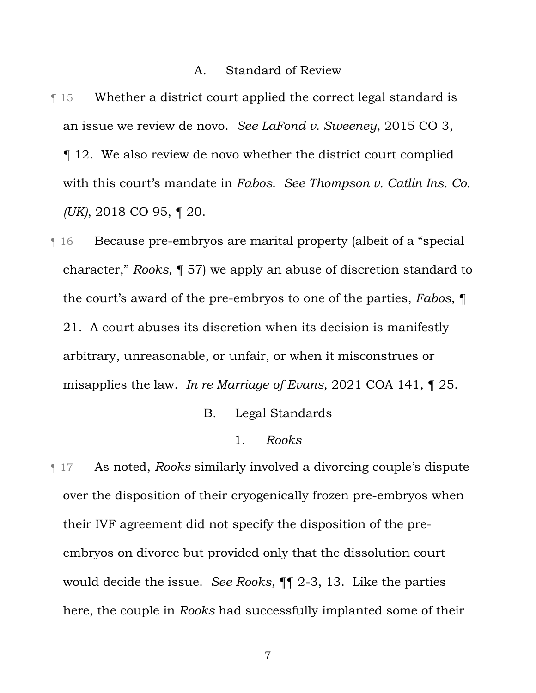#### A. Standard of Review

¶ 15 Whether a district court applied the correct legal standard is an issue we review de novo. *See LaFond v. Sweeney*, 2015 CO 3, ¶ 12. We also review de novo whether the district court complied with this court's mandate in *Fabos*. *See Thompson v. Catlin Ins. Co. (UK)*, 2018 CO 95, ¶ 20.

¶ 16 Because pre-embryos are marital property (albeit of a "special character," *Rooks*, ¶ 57) we apply an abuse of discretion standard to the court's award of the pre-embryos to one of the parties, *Fabos*, ¶ 21. A court abuses its discretion when its decision is manifestly arbitrary, unreasonable, or unfair, or when it misconstrues or misapplies the law. *In re Marriage of Evans*, 2021 COA 141, ¶ 25.

- B. Legal Standards
	- 1. *Rooks*

¶ 17 As noted, *Rooks* similarly involved a divorcing couple's dispute over the disposition of their cryogenically frozen pre-embryos when their IVF agreement did not specify the disposition of the preembryos on divorce but provided only that the dissolution court would decide the issue. *See Rooks*, ¶¶ 2-3, 13. Like the parties here, the couple in *Rooks* had successfully implanted some of their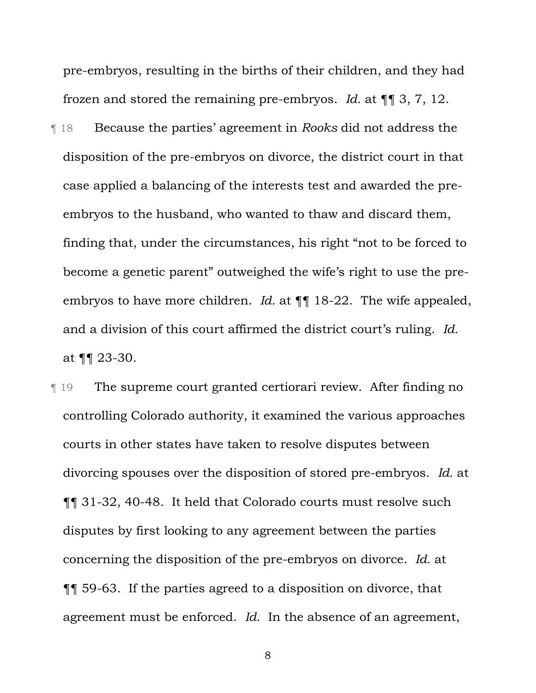pre-embryos, resulting in the births of their children, and they had frozen and stored the remaining pre-embryos. *Id.* at ¶¶ 3, 7, 12.

¶ 18 Because the parties' agreement in *Rooks* did not address the disposition of the pre-embryos on divorce, the district court in that case applied a balancing of the interests test and awarded the preembryos to the husband, who wanted to thaw and discard them, finding that, under the circumstances, his right "not to be forced to become a genetic parent" outweighed the wife's right to use the preembryos to have more children. *Id.* at  $\P\P$  18-22. The wife appealed, and a division of this court affirmed the district court's ruling. *Id.* at ¶¶ 23-30.

¶ 19 The supreme court granted certiorari review. After finding no controlling Colorado authority, it examined the various approaches courts in other states have taken to resolve disputes between divorcing spouses over the disposition of stored pre-embryos. *Id.* at ¶¶ 31-32, 40-48. It held that Colorado courts must resolve such disputes by first looking to any agreement between the parties concerning the disposition of the pre-embryos on divorce. *Id.* at ¶¶ 59-63. If the parties agreed to a disposition on divorce, that agreement must be enforced. *Id.* In the absence of an agreement,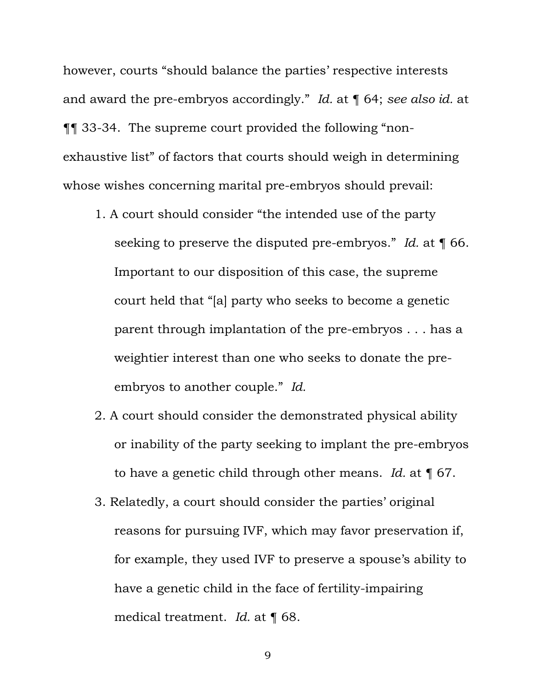however, courts "should balance the parties' respective interests and award the pre-embryos accordingly." *Id.* at ¶ 64; *see also id.* at ¶¶ 33-34. The supreme court provided the following "nonexhaustive list" of factors that courts should weigh in determining whose wishes concerning marital pre-embryos should prevail:

- 1. A court should consider "the intended use of the party seeking to preserve the disputed pre-embryos." *Id.* at ¶ 66. Important to our disposition of this case, the supreme court held that "[a] party who seeks to become a genetic parent through implantation of the pre-embryos . . . has a weightier interest than one who seeks to donate the preembryos to another couple." *Id.*
- 2. A court should consider the demonstrated physical ability or inability of the party seeking to implant the pre-embryos to have a genetic child through other means. *Id.* at ¶ 67.
- 3. Relatedly, a court should consider the parties' original reasons for pursuing IVF, which may favor preservation if, for example, they used IVF to preserve a spouse's ability to have a genetic child in the face of fertility-impairing medical treatment. *Id.* at ¶ 68.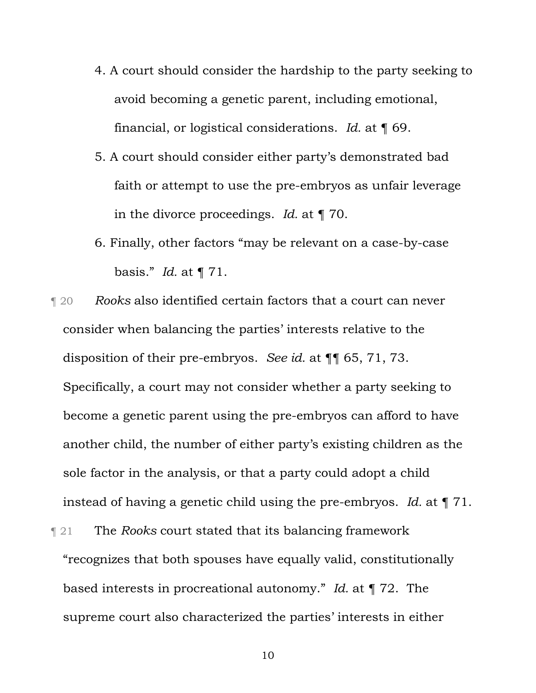- 4. A court should consider the hardship to the party seeking to avoid becoming a genetic parent, including emotional, financial, or logistical considerations. *Id.* at ¶ 69.
- 5. A court should consider either party's demonstrated bad faith or attempt to use the pre-embryos as unfair leverage in the divorce proceedings. *Id.* at ¶ 70.
- 6. Finally, other factors "may be relevant on a case-by-case basis." *Id.* at ¶ 71.
- ¶ 20 *Rooks* also identified certain factors that a court can never consider when balancing the parties' interests relative to the disposition of their pre-embryos. *See id.* at ¶¶ 65, 71, 73. Specifically, a court may not consider whether a party seeking to become a genetic parent using the pre-embryos can afford to have another child, the number of either party's existing children as the sole factor in the analysis, or that a party could adopt a child instead of having a genetic child using the pre-embryos. *Id.* at ¶ 71.
- ¶ 21 The *Rooks* court stated that its balancing framework "recognizes that both spouses have equally valid, constitutionally based interests in procreational autonomy." *Id.* at ¶ 72. The supreme court also characterized the parties' interests in either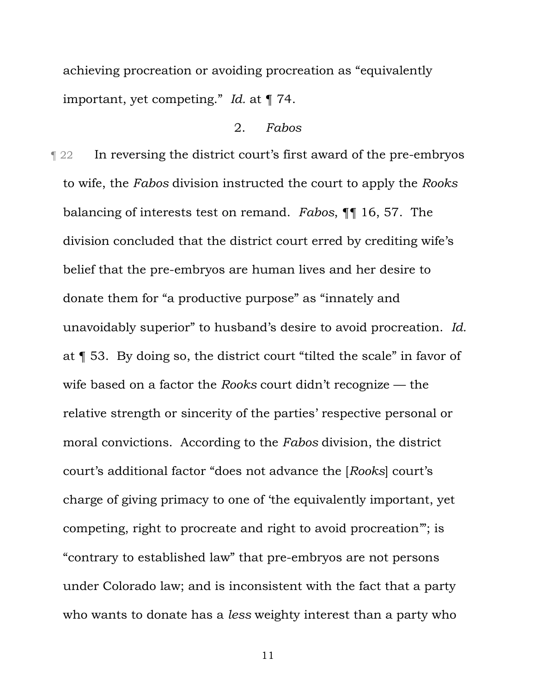achieving procreation or avoiding procreation as "equivalently important, yet competing." *Id.* at ¶ 74.

### 2. *Fabos*

¶ 22 In reversing the district court's first award of the pre-embryos to wife, the *Fabos* division instructed the court to apply the *Rooks* balancing of interests test on remand. *Fabos*, ¶¶ 16, 57. The division concluded that the district court erred by crediting wife's belief that the pre-embryos are human lives and her desire to donate them for "a productive purpose" as "innately and unavoidably superior" to husband's desire to avoid procreation. *Id.*  at ¶ 53. By doing so, the district court "tilted the scale" in favor of wife based on a factor the *Rooks* court didn't recognize — the relative strength or sincerity of the parties' respective personal or moral convictions. According to the *Fabos* division, the district court's additional factor "does not advance the [*Rooks*] court's charge of giving primacy to one of 'the equivalently important, yet competing, right to procreate and right to avoid procreation'"; is "contrary to established law" that pre-embryos are not persons under Colorado law; and is inconsistent with the fact that a party who wants to donate has a *less* weighty interest than a party who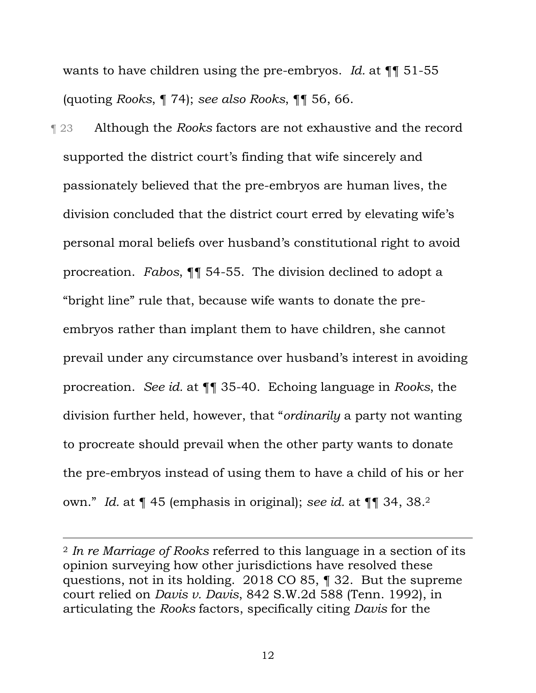wants to have children using the pre-embryos. *Id.* at ¶¶ 51-55 (quoting *Rooks*, ¶ 74); *see also Rooks*, ¶¶ 56, 66.

¶ 23 Although the *Rooks* factors are not exhaustive and the record supported the district court's finding that wife sincerely and passionately believed that the pre-embryos are human lives, the division concluded that the district court erred by elevating wife's personal moral beliefs over husband's constitutional right to avoid procreation. *Fabos*, ¶¶ 54-55. The division declined to adopt a "bright line" rule that, because wife wants to donate the preembryos rather than implant them to have children, she cannot prevail under any circumstance over husband's interest in avoiding procreation. *See id.* at ¶¶ 35-40. Echoing language in *Rooks*, the division further held, however, that "*ordinarily* a party not wanting to procreate should prevail when the other party wants to donate the pre-embryos instead of using them to have a child of his or her own." *Id.* at ¶ 45 (emphasis in original); *see id.* at ¶¶ 34, 38.2

<sup>2</sup> *In re Marriage of Rooks* referred to this language in a section of its opinion surveying how other jurisdictions have resolved these questions, not in its holding. 2018 CO 85, ¶ 32. But the supreme court relied on *Davis v. Davis*, 842 S.W.2d 588 (Tenn. 1992), in articulating the *Rooks* factors, specifically citing *Davis* for the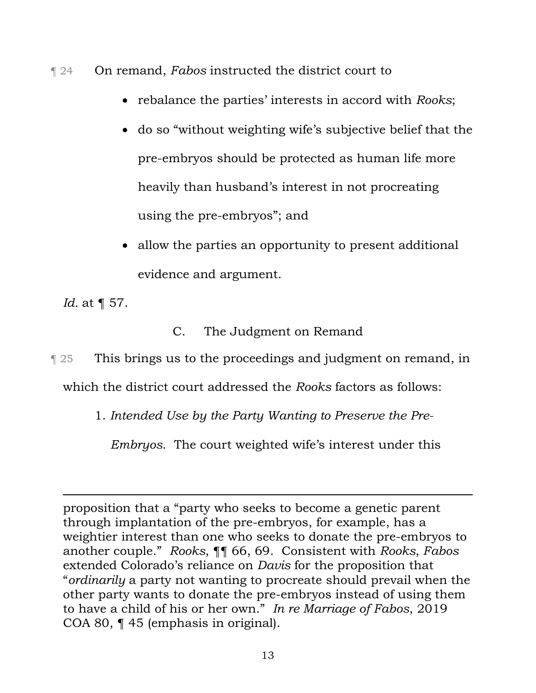- ¶ 24 On remand, *Fabos* instructed the district court to
	- rebalance the parties' interests in accord with *Rooks*;
	- do so "without weighting wife's subjective belief that the pre-embryos should be protected as human life more heavily than husband's interest in not procreating using the pre-embryos"; and
	- allow the parties an opportunity to present additional evidence and argument.

*Id.* at ¶ 57.

C. The Judgment on Remand

**This brings us to the proceedings and judgment on remand, in** which the district court addressed the *Rooks* factors as follows:

1. *Intended Use by the Party Wanting to Preserve the Pre-*

*Embryos*. The court weighted wife's interest under this

proposition that a "party who seeks to become a genetic parent through implantation of the pre-embryos, for example, has a weightier interest than one who seeks to donate the pre-embryos to another couple." *Rooks*, ¶¶ 66, 69. Consistent with *Rooks*, *Fabos*  extended Colorado's reliance on *Davis* for the proposition that "*ordinarily* a party not wanting to procreate should prevail when the other party wants to donate the pre-embryos instead of using them to have a child of his or her own." *In re Marriage of Fabos*, 2019 COA 80, ¶ 45 (emphasis in original).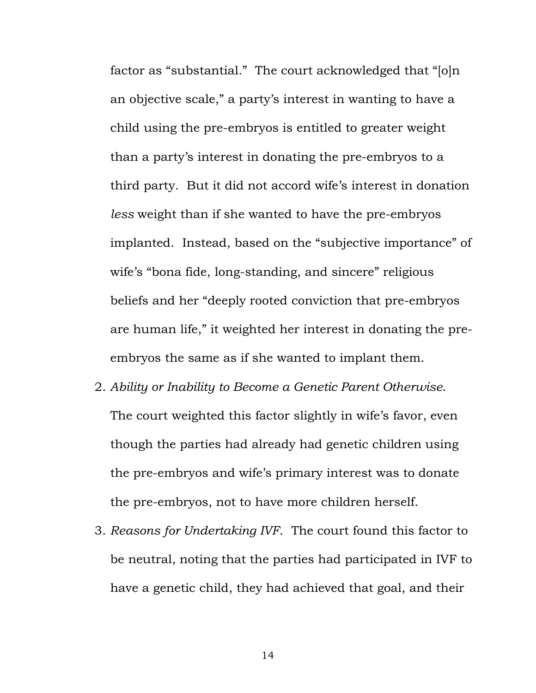factor as "substantial." The court acknowledged that "[o]n an objective scale," a party's interest in wanting to have a child using the pre-embryos is entitled to greater weight than a party's interest in donating the pre-embryos to a third party. But it did not accord wife's interest in donation *less* weight than if she wanted to have the pre-embryos implanted. Instead, based on the "subjective importance" of wife's "bona fide, long-standing, and sincere" religious beliefs and her "deeply rooted conviction that pre-embryos are human life," it weighted her interest in donating the preembryos the same as if she wanted to implant them.

- 2. *Ability or Inability to Become a Genetic Parent Otherwise*. The court weighted this factor slightly in wife's favor, even though the parties had already had genetic children using the pre-embryos and wife's primary interest was to donate the pre-embryos, not to have more children herself.
- 3. *Reasons for Undertaking IVF*. The court found this factor to be neutral, noting that the parties had participated in IVF to have a genetic child, they had achieved that goal, and their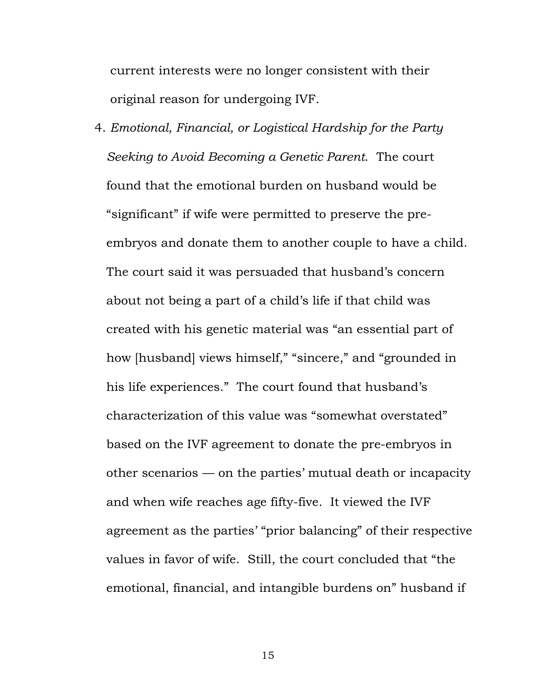current interests were no longer consistent with their original reason for undergoing IVF.

4. *Emotional, Financial, or Logistical Hardship for the Party Seeking to Avoid Becoming a Genetic Parent*. The court found that the emotional burden on husband would be "significant" if wife were permitted to preserve the preembryos and donate them to another couple to have a child. The court said it was persuaded that husband's concern about not being a part of a child's life if that child was created with his genetic material was "an essential part of how [husband] views himself," "sincere," and "grounded in his life experiences." The court found that husband's characterization of this value was "somewhat overstated" based on the IVF agreement to donate the pre-embryos in other scenarios — on the parties' mutual death or incapacity and when wife reaches age fifty-five. It viewed the IVF agreement as the parties' "prior balancing" of their respective values in favor of wife. Still, the court concluded that "the emotional, financial, and intangible burdens on" husband if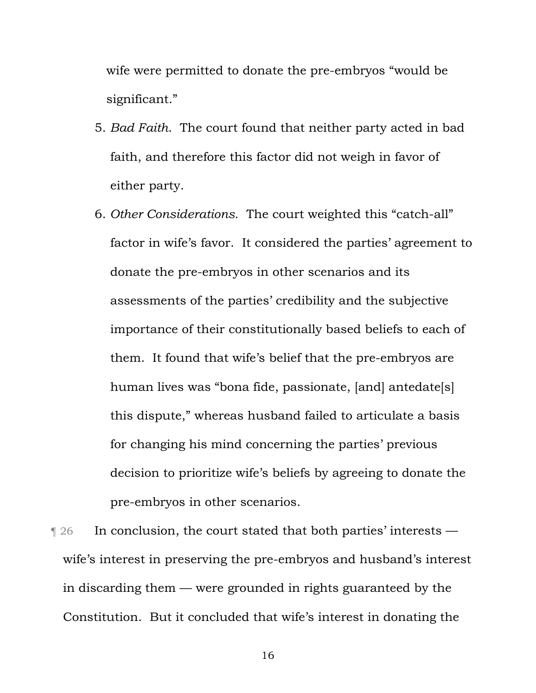wife were permitted to donate the pre-embryos "would be significant."

- 5. *Bad Faith*. The court found that neither party acted in bad faith, and therefore this factor did not weigh in favor of either party.
- 6. *Other Considerations*. The court weighted this "catch-all" factor in wife's favor. It considered the parties' agreement to donate the pre-embryos in other scenarios and its assessments of the parties' credibility and the subjective importance of their constitutionally based beliefs to each of them. It found that wife's belief that the pre-embryos are human lives was "bona fide, passionate, [and] antedate[s] this dispute," whereas husband failed to articulate a basis for changing his mind concerning the parties' previous decision to prioritize wife's beliefs by agreeing to donate the pre-embryos in other scenarios.
- $\parallel$  26 In conclusion, the court stated that both parties' interests wife's interest in preserving the pre-embryos and husband's interest in discarding them — were grounded in rights guaranteed by the Constitution. But it concluded that wife's interest in donating the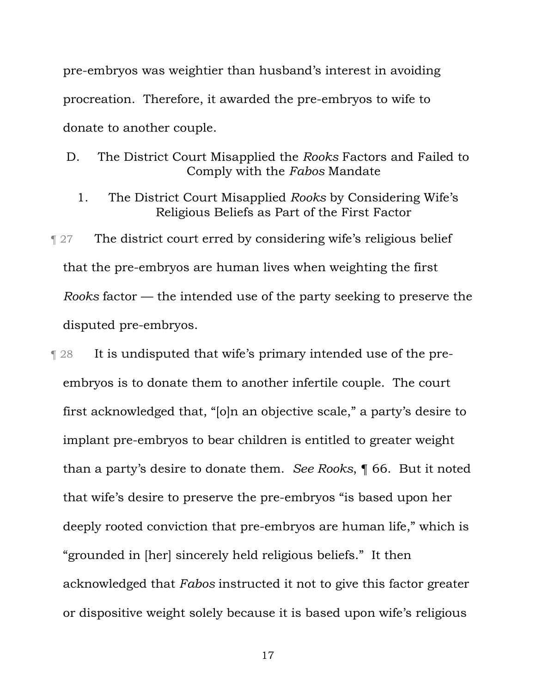pre-embryos was weightier than husband's interest in avoiding procreation. Therefore, it awarded the pre-embryos to wife to donate to another couple.

D. The District Court Misapplied the *Rooks* Factors and Failed to Comply with the *Fabos* Mandate

1. The District Court Misapplied *Rooks* by Considering Wife's Religious Beliefs as Part of the First Factor

¶ 27 The district court erred by considering wife's religious belief that the pre-embryos are human lives when weighting the first *Rooks* factor — the intended use of the party seeking to preserve the disputed pre-embryos.

¶ 28 It is undisputed that wife's primary intended use of the preembryos is to donate them to another infertile couple. The court first acknowledged that, "[o]n an objective scale," a party's desire to implant pre-embryos to bear children is entitled to greater weight than a party's desire to donate them. *See Rooks*, ¶ 66. But it noted that wife's desire to preserve the pre-embryos "is based upon her deeply rooted conviction that pre-embryos are human life," which is "grounded in [her] sincerely held religious beliefs." It then acknowledged that *Fabos* instructed it not to give this factor greater or dispositive weight solely because it is based upon wife's religious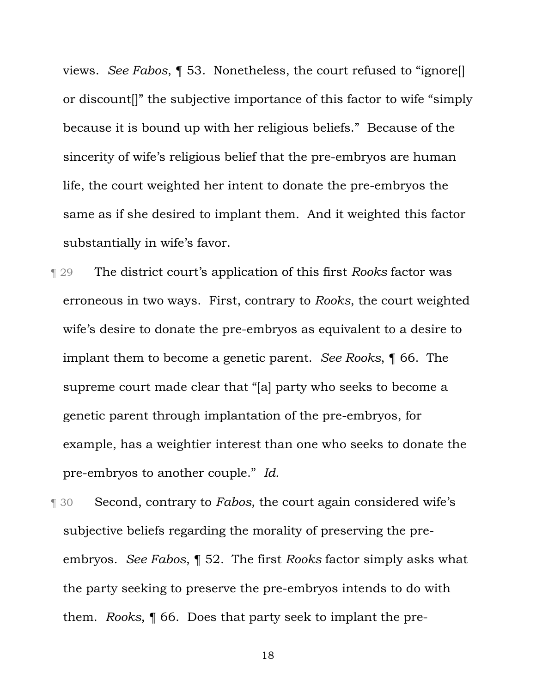views. *See Fabos*, ¶ 53. Nonetheless, the court refused to "ignore[] or discount[]" the subjective importance of this factor to wife "simply because it is bound up with her religious beliefs." Because of the sincerity of wife's religious belief that the pre-embryos are human life, the court weighted her intent to donate the pre-embryos the same as if she desired to implant them. And it weighted this factor substantially in wife's favor.

¶ 29 The district court's application of this first *Rooks* factor was erroneous in two ways. First, contrary to *Rooks*, the court weighted wife's desire to donate the pre-embryos as equivalent to a desire to implant them to become a genetic parent. *See Rooks*, ¶ 66.The supreme court made clear that "[a] party who seeks to become a genetic parent through implantation of the pre-embryos, for example, has a weightier interest than one who seeks to donate the pre-embryos to another couple." *Id.*

¶ 30 Second, contrary to *Fabos*, the court again considered wife's subjective beliefs regarding the morality of preserving the preembryos. *See Fabos*, ¶ 52.The first *Rooks* factor simply asks what the party seeking to preserve the pre-embryos intends to do with them. *Rooks*, ¶ 66. Does that party seek to implant the pre-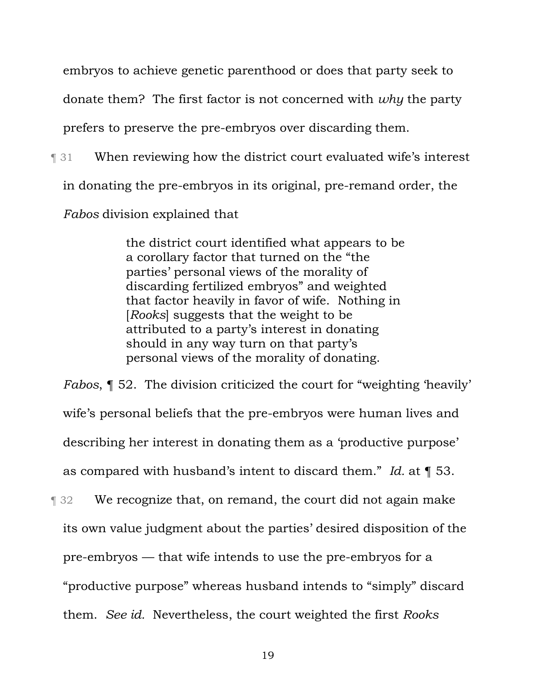embryos to achieve genetic parenthood or does that party seek to

donate them? The first factor is not concerned with *why* the party

prefers to preserve the pre-embryos over discarding them.

¶ 31 When reviewing how the district court evaluated wife's interest

in donating the pre-embryos in its original, pre-remand order, the

*Fabos* division explained that

the district court identified what appears to be a corollary factor that turned on the "the parties' personal views of the morality of discarding fertilized embryos" and weighted that factor heavily in favor of wife. Nothing in [*Rooks*] suggests that the weight to be attributed to a party's interest in donating should in any way turn on that party's personal views of the morality of donating.

*Fabos*, ¶ 52. The division criticized the court for "weighting 'heavily' wife's personal beliefs that the pre-embryos were human lives and describing her interest in donating them as a 'productive purpose' as compared with husband's intent to discard them." *Id.* at ¶ 53.

¶ 32 We recognize that, on remand, the court did not again make its own value judgment about the parties' desired disposition of the pre-embryos — that wife intends to use the pre-embryos for a "productive purpose" whereas husband intends to "simply" discard them. *See id.* Nevertheless, the court weighted the first *Rooks*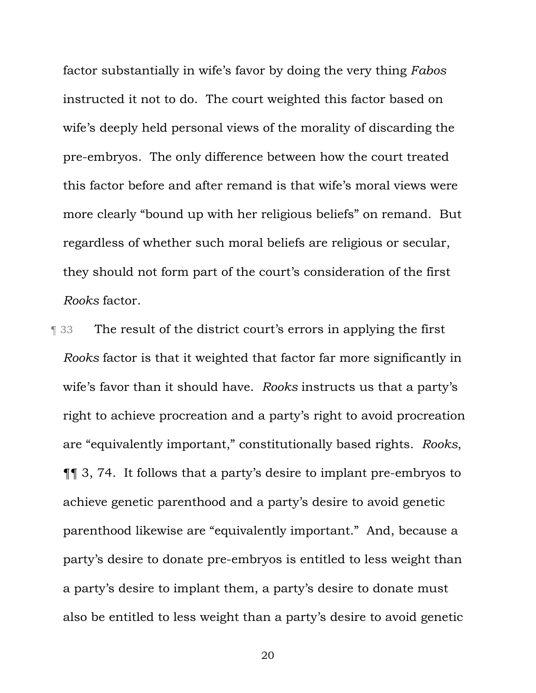factor substantially in wife's favor by doing the very thing *Fabos*  instructed it not to do. The court weighted this factor based on wife's deeply held personal views of the morality of discarding the pre-embryos. The only difference between how the court treated this factor before and after remand is that wife's moral views were more clearly "bound up with her religious beliefs" on remand. But regardless of whether such moral beliefs are religious or secular, they should not form part of the court's consideration of the first *Rooks* factor.

**The result of the district court's errors in applying the first** *Rooks* factor is that it weighted that factor far more significantly in wife's favor than it should have. *Rooks* instructs us that a party's right to achieve procreation and a party's right to avoid procreation are "equivalently important," constitutionally based rights. *Rooks*, ¶¶ 3, 74. It follows that a party's desire to implant pre-embryos to achieve genetic parenthood and a party's desire to avoid genetic parenthood likewise are "equivalently important." And, because a party's desire to donate pre-embryos is entitled to less weight than a party's desire to implant them, a party's desire to donate must also be entitled to less weight than a party's desire to avoid genetic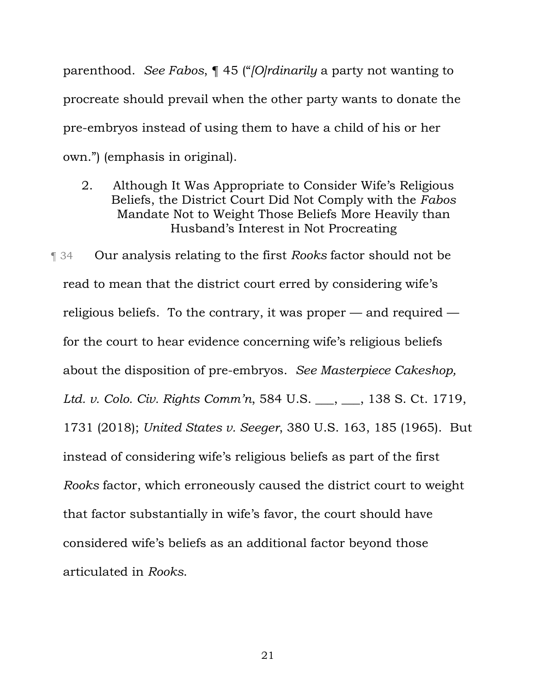parenthood. *See Fabos*, ¶ 45 ("*[O]rdinarily* a party not wanting to procreate should prevail when the other party wants to donate the pre-embryos instead of using them to have a child of his or her own.") (emphasis in original).

2. Although It Was Appropriate to Consider Wife's Religious Beliefs, the District Court Did Not Comply with the *Fabos* Mandate Not to Weight Those Beliefs More Heavily than Husband's Interest in Not Procreating

¶ 34 Our analysis relating to the first *Rooks* factor should not be read to mean that the district court erred by considering wife's religious beliefs. To the contrary, it was proper — and required for the court to hear evidence concerning wife's religious beliefs about the disposition of pre-embryos. *See Masterpiece Cakeshop, Ltd. v. Colo. Civ. Rights Comm'n*, 584 U.S. \_\_\_, \_\_\_, 138 S. Ct. 1719, 1731 (2018); *United States v. Seeger*, 380 U.S. 163, 185 (1965). But instead of considering wife's religious beliefs as part of the first *Rooks* factor, which erroneously caused the district court to weight that factor substantially in wife's favor, the court should have considered wife's beliefs as an additional factor beyond those articulated in *Rooks*.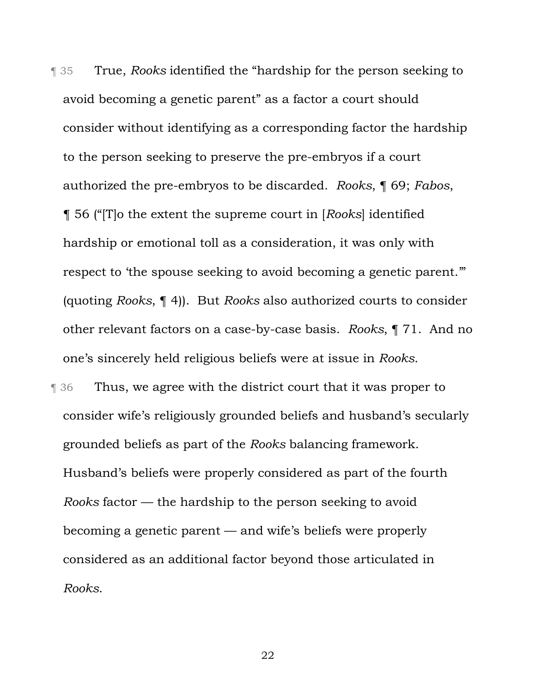¶ 35 True, *Rooks* identified the "hardship for the person seeking to avoid becoming a genetic parent" as a factor a court should consider without identifying as a corresponding factor the hardship to the person seeking to preserve the pre-embryos if a court authorized the pre-embryos to be discarded. *Rooks*, ¶ 69; *Fabos*, ¶ 56 ("[T]o the extent the supreme court in [*Rooks*] identified hardship or emotional toll as a consideration, it was only with respect to 'the spouse seeking to avoid becoming a genetic parent.'" (quoting *Rooks*, ¶ 4)). But *Rooks* also authorized courts to consider other relevant factors on a case-by-case basis. *Rooks*, ¶ 71. And no one's sincerely held religious beliefs were at issue in *Rooks*.

¶ 36 Thus, we agree with the district court that it was proper to consider wife's religiously grounded beliefs and husband's secularly grounded beliefs as part of the *Rooks* balancing framework. Husband's beliefs were properly considered as part of the fourth *Rooks* factor — the hardship to the person seeking to avoid becoming a genetic parent — and wife's beliefs were properly considered as an additional factor beyond those articulated in *Rooks*.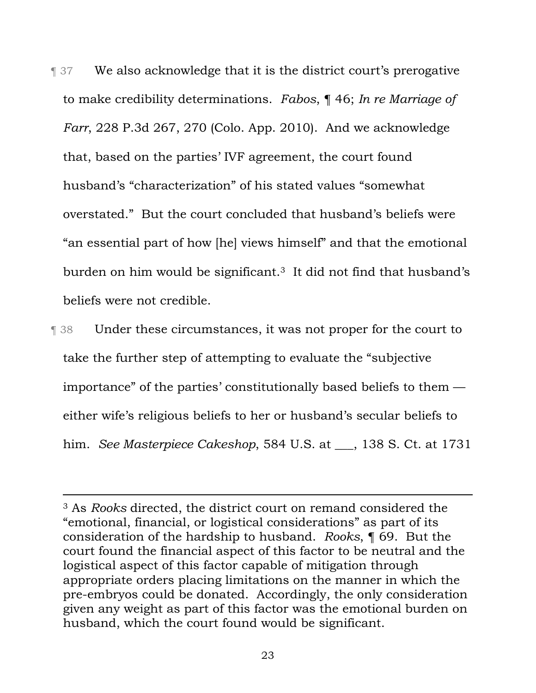**T** 37 We also acknowledge that it is the district court's prerogative to make credibility determinations. *Fabos*, ¶ 46; *In re Marriage of Farr*, 228 P.3d 267, 270 (Colo. App. 2010). And we acknowledge that, based on the parties' IVF agreement, the court found husband's "characterization" of his stated values "somewhat overstated." But the court concluded that husband's beliefs were "an essential part of how [he] views himself" and that the emotional burden on him would be significant.3 It did not find that husband's beliefs were not credible.

¶ 38 Under these circumstances, it was not proper for the court to take the further step of attempting to evaluate the "subjective importance" of the parties' constitutionally based beliefs to them either wife's religious beliefs to her or husband's secular beliefs to him. *See Masterpiece Cakeshop*, 584 U.S. at  $\qquad$ , 138 S. Ct. at 1731

<sup>3</sup> As *Rooks* directed, the district court on remand considered the "emotional, financial, or logistical considerations" as part of its consideration of the hardship to husband. *Rooks*, ¶ 69. But the court found the financial aspect of this factor to be neutral and the logistical aspect of this factor capable of mitigation through appropriate orders placing limitations on the manner in which the pre-embryos could be donated. Accordingly, the only consideration given any weight as part of this factor was the emotional burden on husband, which the court found would be significant.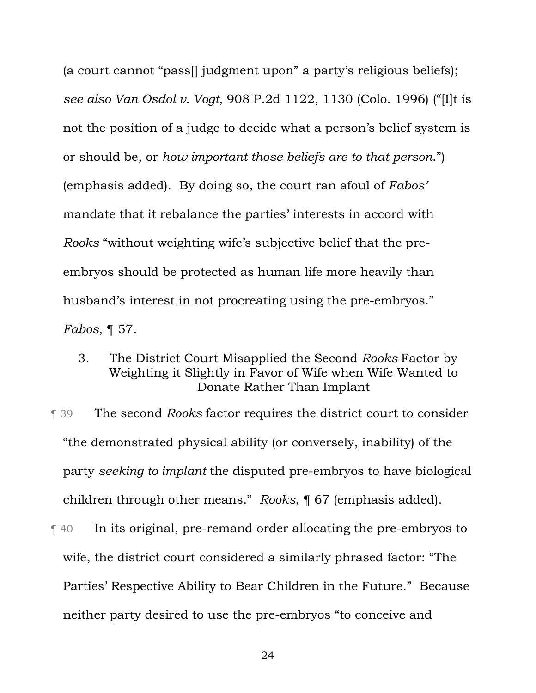(a court cannot "pass[] judgment upon" a party's religious beliefs); *see also Van Osdol v. Vogt*, 908 P.2d 1122, 1130 (Colo. 1996) ("[I]t is not the position of a judge to decide what a person's belief system is or should be, or *how important those beliefs are to that person*.") (emphasis added). By doing so, the court ran afoul of *Fabos'* mandate that it rebalance the parties' interests in accord with *Rooks* "without weighting wife's subjective belief that the preembryos should be protected as human life more heavily than husband's interest in not procreating using the pre-embryos." *Fabos*, ¶ 57.

3. The District Court Misapplied the Second *Rooks* Factor by Weighting it Slightly in Favor of Wife when Wife Wanted to Donate Rather Than Implant

¶ 39 The second *Rooks* factor requires the district court to consider "the demonstrated physical ability (or conversely, inability) of the party *seeking to implant* the disputed pre-embryos to have biological children through other means." *Rooks*, ¶ 67 (emphasis added).

¶ 40 In its original, pre-remand order allocating the pre-embryos to wife, the district court considered a similarly phrased factor: "The Parties' Respective Ability to Bear Children in the Future." Because neither party desired to use the pre-embryos "to conceive and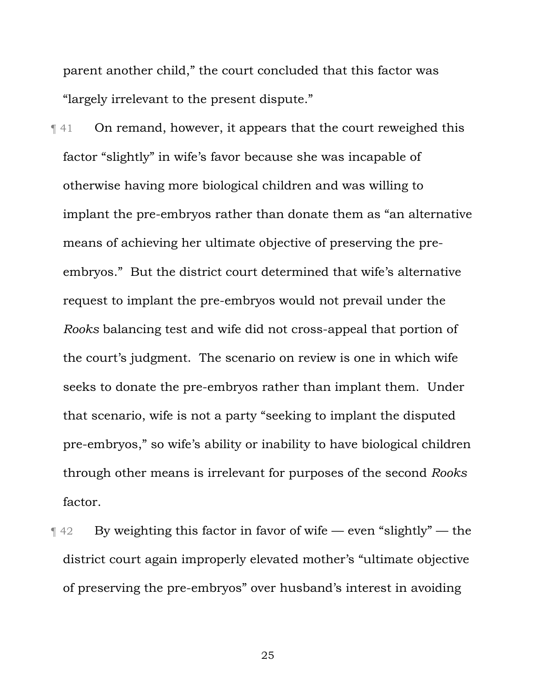parent another child," the court concluded that this factor was "largely irrelevant to the present dispute."

¶ 41 On remand, however, it appears that the court reweighed this factor "slightly" in wife's favor because she was incapable of otherwise having more biological children and was willing to implant the pre-embryos rather than donate them as "an alternative means of achieving her ultimate objective of preserving the preembryos." But the district court determined that wife's alternative request to implant the pre-embryos would not prevail under the *Rooks* balancing test and wife did not cross-appeal that portion of the court's judgment. The scenario on review is one in which wife seeks to donate the pre-embryos rather than implant them. Under that scenario, wife is not a party "seeking to implant the disputed pre-embryos," so wife's ability or inability to have biological children through other means is irrelevant for purposes of the second *Rooks* factor.

 $\P$  42 By weighting this factor in favor of wife — even "slightly" — the district court again improperly elevated mother's "ultimate objective of preserving the pre-embryos" over husband's interest in avoiding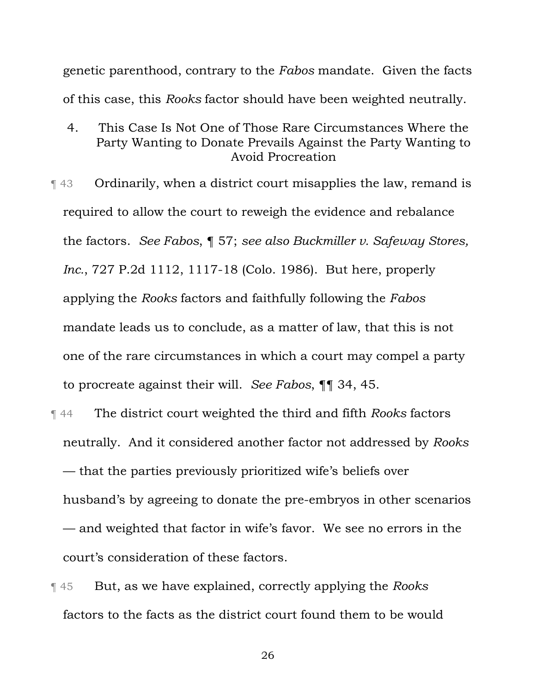genetic parenthood, contrary to the *Fabos* mandate. Given the facts of this case, this *Rooks* factor should have been weighted neutrally.

- 4. This Case Is Not One of Those Rare Circumstances Where the Party Wanting to Donate Prevails Against the Party Wanting to Avoid Procreation
- ¶ 43 Ordinarily, when a district court misapplies the law, remand is required to allow the court to reweigh the evidence and rebalance the factors. *See Fabos*, ¶ 57; *see also Buckmiller v. Safeway Stores, Inc.*, 727 P.2d 1112, 1117-18 (Colo. 1986). But here, properly applying the *Rooks* factors and faithfully following the *Fabos* mandate leads us to conclude, as a matter of law, that this is not one of the rare circumstances in which a court may compel a party to procreate against their will. *See Fabos*, ¶¶ 34, 45.
- ¶ 44 The district court weighted the third and fifth *Rooks* factors neutrally. And it considered another factor not addressed by *Rooks* — that the parties previously prioritized wife's beliefs over husband's by agreeing to donate the pre-embryos in other scenarios — and weighted that factor in wife's favor. We see no errors in the court's consideration of these factors.
- ¶ 45 But, as we have explained, correctly applying the *Rooks* factors to the facts as the district court found them to be would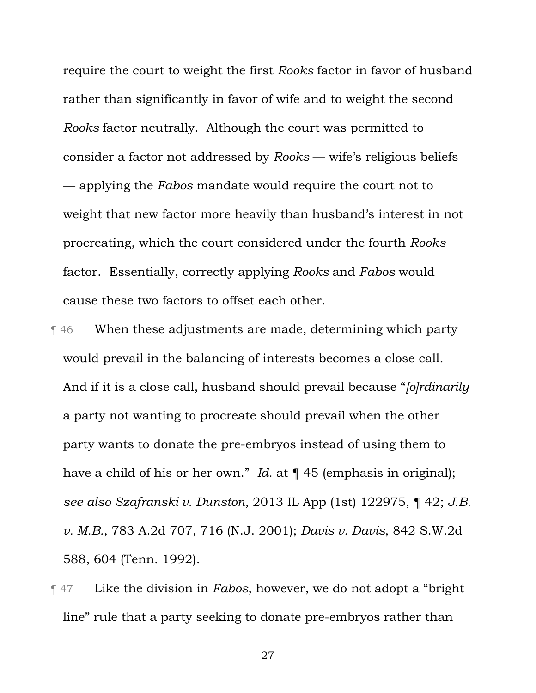require the court to weight the first *Rooks* factor in favor of husband rather than significantly in favor of wife and to weight the second *Rooks* factor neutrally. Although the court was permitted to consider a factor not addressed by *Rooks* — wife's religious beliefs — applying the *Fabos* mandate would require the court not to weight that new factor more heavily than husband's interest in not procreating, which the court considered under the fourth *Rooks* factor. Essentially, correctly applying *Rooks* and *Fabos* would cause these two factors to offset each other.

- ¶ 46 When these adjustments are made, determining which party would prevail in the balancing of interests becomes a close call. And if it is a close call, husband should prevail because "*[o]rdinarily* a party not wanting to procreate should prevail when the other party wants to donate the pre-embryos instead of using them to have a child of his or her own." *Id.* at ¶ 45 (emphasis in original); *see also Szafranski v. Dunston*, 2013 IL App (1st) 122975, ¶ 42; *J.B. v. M.B.*, 783 A.2d 707, 716 (N.J. 2001); *Davis v. Davis*, 842 S.W.2d 588, 604 (Tenn. 1992).
- ¶ 47 Like the division in *Fabos*, however, we do not adopt a "bright line" rule that a party seeking to donate pre-embryos rather than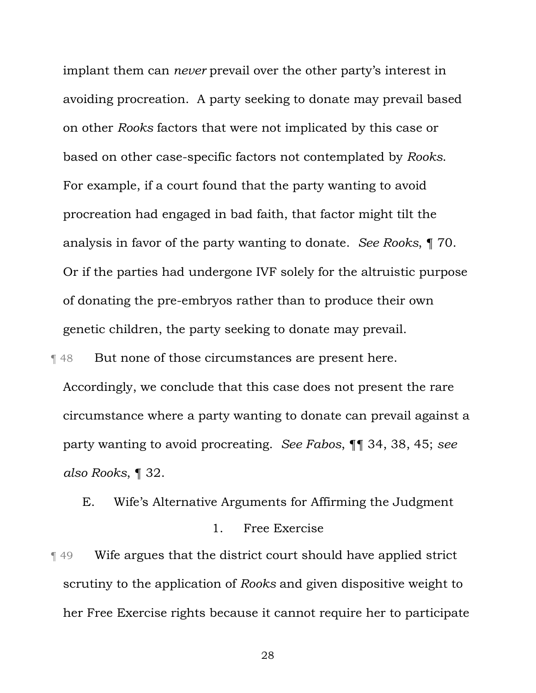implant them can *never* prevail over the other party's interest in avoiding procreation. A party seeking to donate may prevail based on other *Rooks* factors that were not implicated by this case or based on other case-specific factors not contemplated by *Rooks*. For example, if a court found that the party wanting to avoid procreation had engaged in bad faith, that factor might tilt the analysis in favor of the party wanting to donate. *See Rooks*, ¶ 70. Or if the parties had undergone IVF solely for the altruistic purpose of donating the pre-embryos rather than to produce their own genetic children, the party seeking to donate may prevail.

**Texalle** But none of those circumstances are present here.

Accordingly, we conclude that this case does not present the rare circumstance where a party wanting to donate can prevail against a party wanting to avoid procreating. *See Fabos*, ¶¶ 34, 38, 45; *see also Rooks*, ¶ 32.

E. Wife's Alternative Arguments for Affirming the Judgment

# 1. Free Exercise

¶ 49 Wife argues that the district court should have applied strict scrutiny to the application of *Rooks* and given dispositive weight to her Free Exercise rights because it cannot require her to participate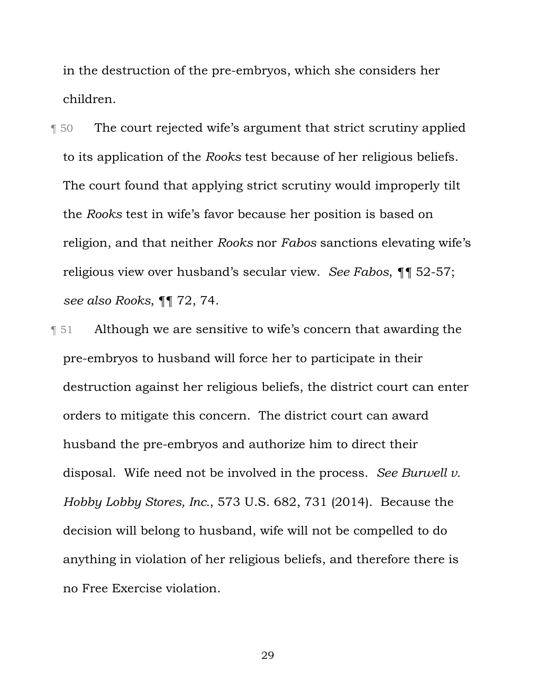in the destruction of the pre-embryos, which she considers her children.

¶ 50 The court rejected wife's argument that strict scrutiny applied to its application of the *Rooks* test because of her religious beliefs. The court found that applying strict scrutiny would improperly tilt the *Rooks* test in wife's favor because her position is based on religion, and that neither *Rooks* nor *Fabos* sanctions elevating wife's religious view over husband's secular view. *See Fabos*, *¶¶* 52-57; *see also Rooks*, ¶¶ 72, 74.

¶ 51 Although we are sensitive to wife's concern that awarding the pre-embryos to husband will force her to participate in their destruction against her religious beliefs, the district court can enter orders to mitigate this concern. The district court can award husband the pre-embryos and authorize him to direct their disposal. Wife need not be involved in the process. *See Burwell v. Hobby Lobby Stores, Inc.*, 573 U.S. 682, 731 (2014). Because the decision will belong to husband, wife will not be compelled to do anything in violation of her religious beliefs, and therefore there is no Free Exercise violation.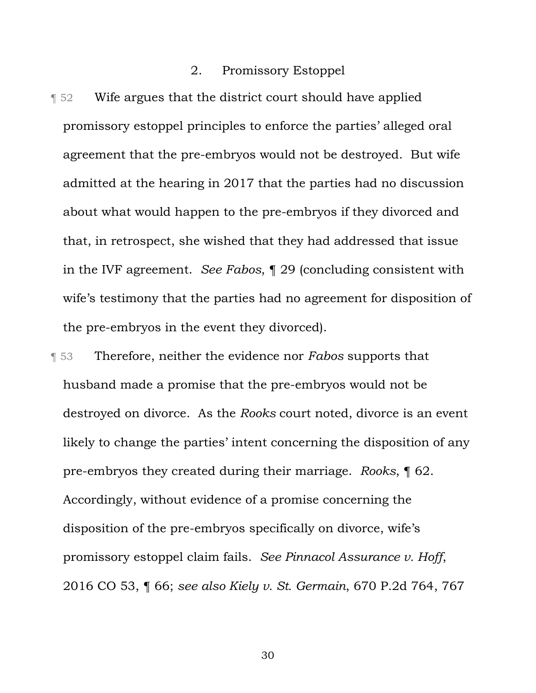## 2. Promissory Estoppel

- ¶ 52 Wife argues that the district court should have applied promissory estoppel principles to enforce the parties' alleged oral agreement that the pre-embryos would not be destroyed. But wife admitted at the hearing in 2017 that the parties had no discussion about what would happen to the pre-embryos if they divorced and that, in retrospect, she wished that they had addressed that issue in the IVF agreement. *See Fabos*, ¶ 29 (concluding consistent with wife's testimony that the parties had no agreement for disposition of the pre-embryos in the event they divorced).
- ¶ 53 Therefore, neither the evidence nor *Fabos* supports that husband made a promise that the pre-embryos would not be destroyed on divorce. As the *Rooks* court noted, divorce is an event likely to change the parties' intent concerning the disposition of any pre-embryos they created during their marriage. *Rooks*, ¶ 62. Accordingly, without evidence of a promise concerning the disposition of the pre-embryos specifically on divorce, wife's promissory estoppel claim fails. *See Pinnacol Assurance v. Hoff*, 2016 CO 53, ¶ 66; *see also Kiely v. St. Germain*, 670 P.2d 764, 767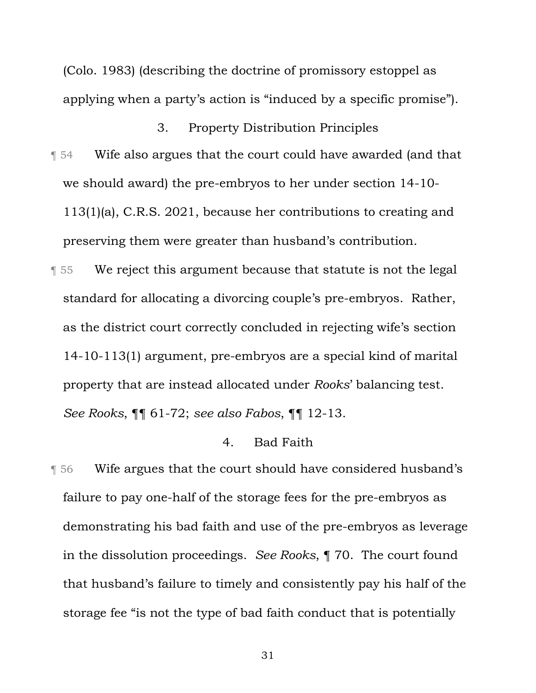(Colo. 1983) (describing the doctrine of promissory estoppel as applying when a party's action is "induced by a specific promise").

# 3. Property Distribution Principles

- ¶ 54 Wife also argues that the court could have awarded (and that we should award) the pre-embryos to her under section 14-10- 113(1)(a), C.R.S. 2021, because her contributions to creating and preserving them were greater than husband's contribution.
- ¶ 55 We reject this argument because that statute is not the legal standard for allocating a divorcing couple's pre-embryos. Rather, as the district court correctly concluded in rejecting wife's section 14-10-113(1) argument, pre-embryos are a special kind of marital property that are instead allocated under *Rooks*' balancing test. *See Rooks*, ¶¶ 61-72; *see also Fabos*, ¶¶ 12-13.

### 4. Bad Faith

¶ 56 Wife argues that the court should have considered husband's failure to pay one-half of the storage fees for the pre-embryos as demonstrating his bad faith and use of the pre-embryos as leverage in the dissolution proceedings. *See Rooks*, ¶ 70. The court found that husband's failure to timely and consistently pay his half of the storage fee "is not the type of bad faith conduct that is potentially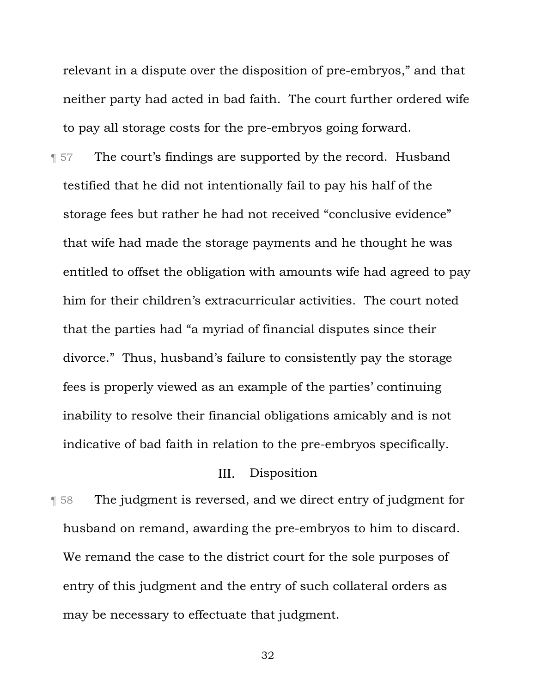relevant in a dispute over the disposition of pre-embryos," and that neither party had acted in bad faith. The court further ordered wife to pay all storage costs for the pre-embryos going forward.

**The court's findings are supported by the record. Husband** testified that he did not intentionally fail to pay his half of the storage fees but rather he had not received "conclusive evidence" that wife had made the storage payments and he thought he was entitled to offset the obligation with amounts wife had agreed to pay him for their children's extracurricular activities. The court noted that the parties had "a myriad of financial disputes since their divorce." Thus, husband's failure to consistently pay the storage fees is properly viewed as an example of the parties' continuing inability to resolve their financial obligations amicably and is not indicative of bad faith in relation to the pre-embryos specifically.

#### $III.$ Disposition

¶ 58 The judgment is reversed, and we direct entry of judgment for husband on remand, awarding the pre-embryos to him to discard. We remand the case to the district court for the sole purposes of entry of this judgment and the entry of such collateral orders as may be necessary to effectuate that judgment.